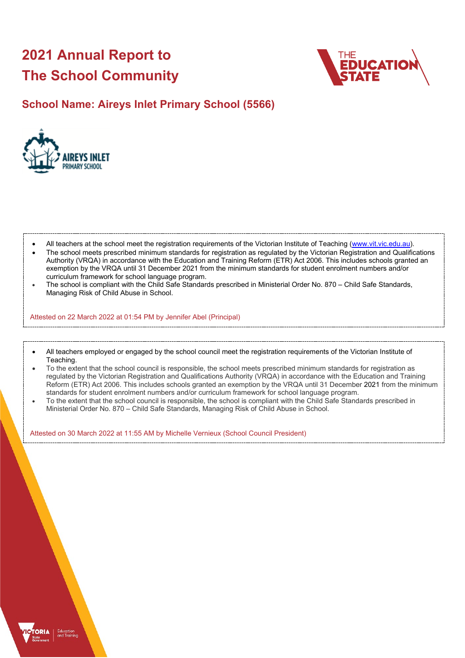# **2021 Annual Report to The School Community**



# **School Name: Aireys Inlet Primary School (5566)**



- All teachers at the school meet the registration requirements of the Victorian Institute of Teaching [\(www.vit.vic.edu.au\)](https://www.vit.vic.edu.au/).
- The school meets prescribed minimum standards for registration as regulated by the Victorian Registration and Qualifications Authority (VRQA) in accordance with the Education and Training Reform (ETR) Act 2006. This includes schools granted an exemption by the VRQA until 31 December 2021 from the minimum standards for student enrolment numbers and/or curriculum framework for school language program.
- The school is compliant with the Child Safe Standards prescribed in Ministerial Order No. 870 Child Safe Standards, Managing Risk of Child Abuse in School.

Attested on 22 March 2022 at 01:54 PM by Jennifer Abel (Principal)

- All teachers employed or engaged by the school council meet the registration requirements of the Victorian Institute of Teaching.
- To the extent that the school council is responsible, the school meets prescribed minimum standards for registration as regulated by the Victorian Registration and Qualifications Authority (VRQA) in accordance with the Education and Training Reform (ETR) Act 2006. This includes schools granted an exemption by the VRQA until 31 December 2021 from the minimum standards for student enrolment numbers and/or curriculum framework for school language program.
- To the extent that the school council is responsible, the school is compliant with the Child Safe Standards prescribed in Ministerial Order No. 870 – Child Safe Standards, Managing Risk of Child Abuse in School.

Attested on 30 March 2022 at 11:55 AM by Michelle Vernieux (School Council President)

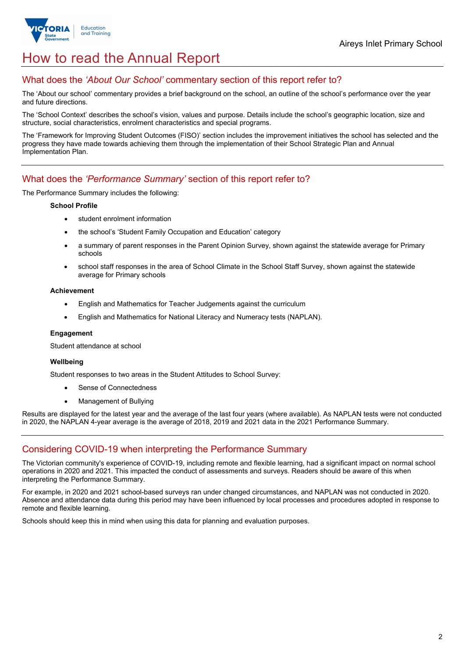

# How to read the Annual Report

## What does the *'About Our School'* commentary section of this report refer to?

The 'About our school' commentary provides a brief background on the school, an outline of the school's performance over the year and future directions.

The 'School Context' describes the school's vision, values and purpose. Details include the school's geographic location, size and structure, social characteristics, enrolment characteristics and special programs.

The 'Framework for Improving Student Outcomes (FISO)' section includes the improvement initiatives the school has selected and the progress they have made towards achieving them through the implementation of their School Strategic Plan and Annual Implementation Plan.

## What does the *'Performance Summary'* section of this report refer to?

The Performance Summary includes the following:

#### **School Profile**

- student enrolment information
- the school's 'Student Family Occupation and Education' category
- a summary of parent responses in the Parent Opinion Survey, shown against the statewide average for Primary schools
- school staff responses in the area of School Climate in the School Staff Survey, shown against the statewide average for Primary schools

#### **Achievement**

- English and Mathematics for Teacher Judgements against the curriculum
- English and Mathematics for National Literacy and Numeracy tests (NAPLAN).

#### **Engagement**

Student attendance at school

#### **Wellbeing**

Student responses to two areas in the Student Attitudes to School Survey:

- Sense of Connectedness
- Management of Bullying

Results are displayed for the latest year and the average of the last four years (where available). As NAPLAN tests were not conducted in 2020, the NAPLAN 4-year average is the average of 2018, 2019 and 2021 data in the 2021 Performance Summary.

## Considering COVID-19 when interpreting the Performance Summary

The Victorian community's experience of COVID-19, including remote and flexible learning, had a significant impact on normal school operations in 2020 and 2021. This impacted the conduct of assessments and surveys. Readers should be aware of this when interpreting the Performance Summary.

For example, in 2020 and 2021 school-based surveys ran under changed circumstances, and NAPLAN was not conducted in 2020. Absence and attendance data during this period may have been influenced by local processes and procedures adopted in response to remote and flexible learning.

Schools should keep this in mind when using this data for planning and evaluation purposes.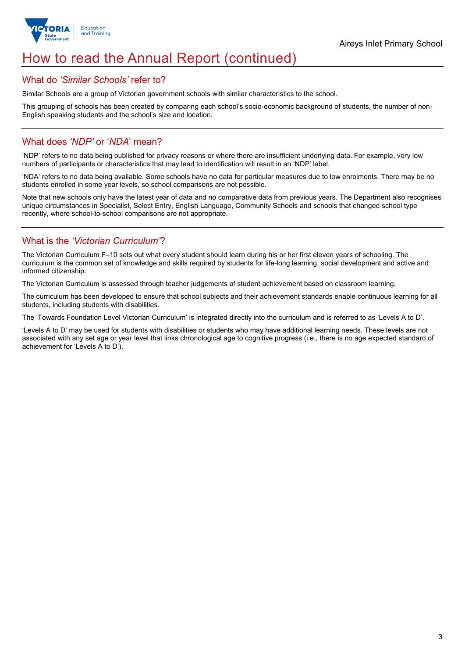

# How to read the Annual Report (continued)

## What do *'Similar Schools'* refer to?

Similar Schools are a group of Victorian government schools with similar characteristics to the school.

This grouping of schools has been created by comparing each school's socio-economic background of students, the number of non-English speaking students and the school's size and location.

## What does *'NDP'* or '*NDA*' mean?

'NDP' refers to no data being published for privacy reasons or where there are insufficient underlying data. For example, very low numbers of participants or characteristics that may lead to identification will result in an 'NDP' label.

'NDA' refers to no data being available. Some schools have no data for particular measures due to low enrolments. There may be no students enrolled in some year levels, so school comparisons are not possible.

Note that new schools only have the latest year of data and no comparative data from previous years. The Department also recognises unique circumstances in Specialist, Select Entry, English Language, Community Schools and schools that changed school type recently, where school-to-school comparisons are not appropriate.

## What is the *'Victorian Curriculum'*?

The Victorian Curriculum F–10 sets out what every student should learn during his or her first eleven years of schooling. The curriculum is the common set of knowledge and skills required by students for life-long learning, social development and active and informed citizenship.

The Victorian Curriculum is assessed through teacher judgements of student achievement based on classroom learning.

The curriculum has been developed to ensure that school subjects and their achievement standards enable continuous learning for all students, including students with disabilities.

The 'Towards Foundation Level Victorian Curriculum' is integrated directly into the curriculum and is referred to as 'Levels A to D'.

'Levels A to D' may be used for students with disabilities or students who may have additional learning needs. These levels are not associated with any set age or year level that links chronological age to cognitive progress (i.e., there is no age expected standard of achievement for 'Levels A to D').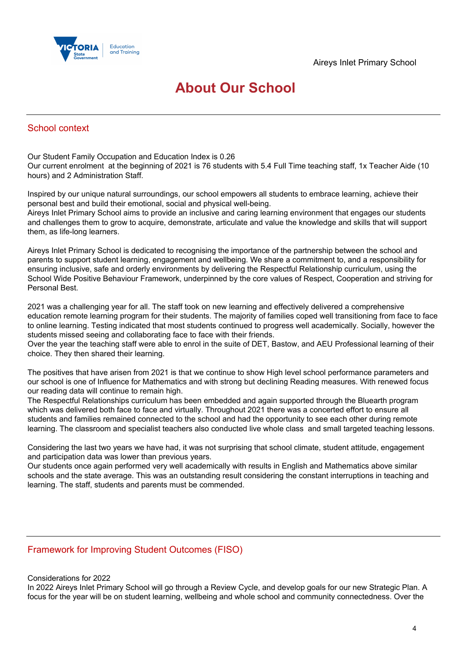

# **About Our School**

## School context

Our Student Family Occupation and Education Index is 0.26 Our current enrolment at the beginning of 2021 is 76 students with 5.4 Full Time teaching staff, 1x Teacher Aide (10 hours) and 2 Administration Staff.

Inspired by our unique natural surroundings, our school empowers all students to embrace learning, achieve their personal best and build their emotional, social and physical well-being.

Aireys Inlet Primary School aims to provide an inclusive and caring learning environment that engages our students and challenges them to grow to acquire, demonstrate, articulate and value the knowledge and skills that will support them, as life-long learners.

Aireys Inlet Primary School is dedicated to recognising the importance of the partnership between the school and parents to support student learning, engagement and wellbeing. We share a commitment to, and a responsibility for ensuring inclusive, safe and orderly environments by delivering the Respectful Relationship curriculum, using the School Wide Positive Behaviour Framework, underpinned by the core values of Respect, Cooperation and striving for Personal Best.

2021 was a challenging year for all. The staff took on new learning and effectively delivered a comprehensive education remote learning program for their students. The majority of families coped well transitioning from face to face to online learning. Testing indicated that most students continued to progress well academically. Socially, however the students missed seeing and collaborating face to face with their friends.

Over the year the teaching staff were able to enrol in the suite of DET, Bastow, and AEU Professional learning of their choice. They then shared their learning.

The positives that have arisen from 2021 is that we continue to show High level school performance parameters and our school is one of Influence for Mathematics and with strong but declining Reading measures. With renewed focus our reading data will continue to remain high.

The Respectful Relationships curriculum has been embedded and again supported through the Bluearth program which was delivered both face to face and virtually. Throughout 2021 there was a concerted effort to ensure all students and families remained connected to the school and had the opportunity to see each other during remote learning. The classroom and specialist teachers also conducted live whole class and small targeted teaching lessons.

Considering the last two years we have had, it was not surprising that school climate, student attitude, engagement and participation data was lower than previous years.

Our students once again performed very well academically with results in English and Mathematics above similar schools and the state average. This was an outstanding result considering the constant interruptions in teaching and learning. The staff, students and parents must be commended.

## Framework for Improving Student Outcomes (FISO)

### Considerations for 2022

In 2022 Aireys Inlet Primary School will go through a Review Cycle, and develop goals for our new Strategic Plan. A focus for the year will be on student learning, wellbeing and whole school and community connectedness. Over the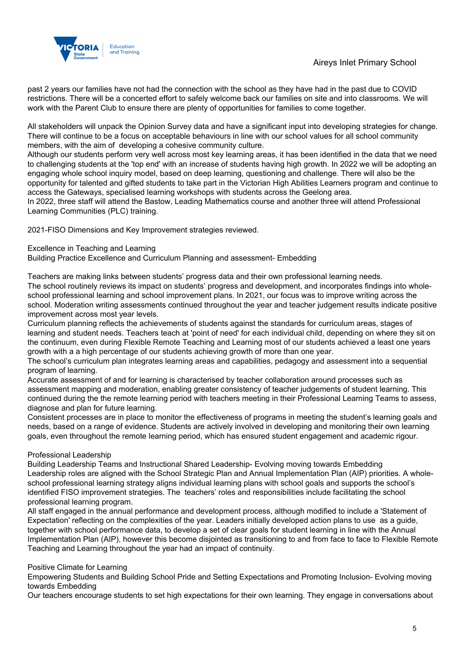## Aireys Inlet Primary School



past 2 years our families have not had the connection with the school as they have had in the past due to COVID restrictions. There will be a concerted effort to safely welcome back our families on site and into classrooms. We will work with the Parent Club to ensure there are plenty of opportunities for families to come together.

All stakeholders will unpack the Opinion Survey data and have a significant input into developing strategies for change. There will continue to be a focus on acceptable behaviours in line with our school values for all school community members, with the aim of developing a cohesive community culture.

Although our students perform very well across most key learning areas, it has been identified in the data that we need to challenging students at the 'top end' with an increase of students having high growth. In 2022 we will be adopting an engaging whole school inquiry model, based on deep learning, questioning and challenge. There will also be the opportunity for talented and gifted students to take part in the Victorian High Abilities Learners program and continue to access the Gateways, specialised learning workshops with students across the Geelong area.

In 2022, three staff will attend the Bastow, Leading Mathematics course and another three will attend Professional Learning Communities (PLC) training.

2021-FISO Dimensions and Key Improvement strategies reviewed.

#### Excellence in Teaching and Learning

Building Practice Excellence and Curriculum Planning and assessment- Embedding

Teachers are making links between students' progress data and their own professional learning needs.

The school routinely reviews its impact on students' progress and development, and incorporates findings into wholeschool professional learning and school improvement plans. In 2021, our focus was to improve writing across the school. Moderation writing assessments continued throughout the year and teacher judgement results indicate positive improvement across most year levels.

Curriculum planning reflects the achievements of students against the standards for curriculum areas, stages of learning and student needs. Teachers teach at 'point of need' for each individual child, depending on where they sit on the continuum, even during Flexible Remote Teaching and Learning most of our students achieved a least one years growth with a a high percentage of our students achieving growth of more than one year.

The school's curriculum plan integrates learning areas and capabilities, pedagogy and assessment into a sequential program of learning.

Accurate assessment of and for learning is characterised by teacher collaboration around processes such as assessment mapping and moderation, enabling greater consistency of teacher judgements of student learning. This continued during the the remote learning period with teachers meeting in their Professional Learning Teams to assess, diagnose and plan for future learning.

Consistent processes are in place to monitor the effectiveness of programs in meeting the student's learning goals and needs, based on a range of evidence. Students are actively involved in developing and monitoring their own learning goals, even throughout the remote learning period, which has ensured student engagement and academic rigour.

### Professional Leadership

Building Leadership Teams and Instructional Shared Leadership- Evolving moving towards Embedding Leadership roles are aligned with the School Strategic Plan and Annual Implementation Plan (AIP) priorities. A wholeschool professional learning strategy aligns individual learning plans with school goals and supports the school's identified FISO improvement strategies. The teachers' roles and responsibilities include facilitating the school professional learning program.

All staff engaged in the annual performance and development process, although modified to include a 'Statement of Expectation' reflecting on the complexities of the year. Leaders initially developed action plans to use as a guide, together with school performance data, to develop a set of clear goals for student learning in line with the Annual Implementation Plan (AIP), however this become disjointed as transitioning to and from face to face to Flexible Remote Teaching and Learning throughout the year had an impact of continuity.

### Positive Climate for Learning

Empowering Students and Building School Pride and Setting Expectations and Promoting Inclusion- Evolving moving towards Embedding

Our teachers encourage students to set high expectations for their own learning. They engage in conversations about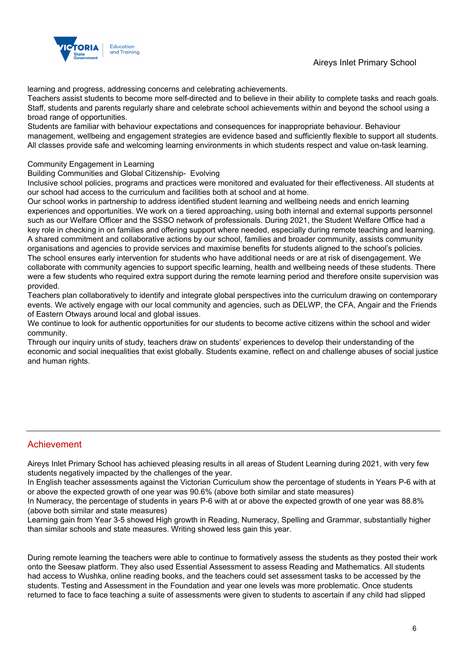Aireys Inlet Primary School



learning and progress, addressing concerns and celebrating achievements.

Teachers assist students to become more self-directed and to believe in their ability to complete tasks and reach goals. Staff, students and parents regularly share and celebrate school achievements within and beyond the school using a broad range of opportunities.

Students are familiar with behaviour expectations and consequences for inappropriate behaviour. Behaviour management, wellbeing and engagement strategies are evidence based and sufficiently flexible to support all students. All classes provide safe and welcoming learning environments in which students respect and value on-task learning.

### Community Engagement in Learning

Building Communities and Global Citizenship- Evolving

Inclusive school policies, programs and practices were monitored and evaluated for their effectiveness. All students at our school had access to the curriculum and facilities both at school and at home.

Our school works in partnership to address identified student learning and wellbeing needs and enrich learning experiences and opportunities. We work on a tiered approaching, using both internal and external supports personnel such as our Welfare Officer and the SSSO network of professionals. During 2021, the Student Welfare Office had a key role in checking in on families and offering support where needed, especially during remote teaching and learning. A shared commitment and collaborative actions by our school, families and broader community, assists community organisations and agencies to provide services and maximise benefits for students aligned to the school's policies. The school ensures early intervention for students who have additional needs or are at risk of disengagement. We collaborate with community agencies to support specific learning, health and wellbeing needs of these students. There were a few students who required extra support during the remote learning period and therefore onsite supervision was provided.

Teachers plan collaboratively to identify and integrate global perspectives into the curriculum drawing on contemporary events. We actively engage with our local community and agencies, such as DELWP, the CFA, Angair and the Friends of Eastern Otways around local and global issues.

We continue to look for authentic opportunities for our students to become active citizens within the school and wider community.

Through our inquiry units of study, teachers draw on students' experiences to develop their understanding of the economic and social inequalities that exist globally. Students examine, reflect on and challenge abuses of social justice and human rights.

## Achievement

Aireys Inlet Primary School has achieved pleasing results in all areas of Student Learning during 2021, with very few students negatively impacted by the challenges of the year.

In English teacher assessments against the Victorian Curriculum show the percentage of students in Years P-6 with at or above the expected growth of one year was 90.6% (above both similar and state measures)

In Numeracy, the percentage of students in years P-6 with at or above the expected growth of one year was 88.8% (above both similar and state measures)

Learning gain from Year 3-5 showed High growth in Reading, Numeracy, Spelling and Grammar, substantially higher than similar schools and state measures. Writing showed less gain this year.

During remote learning the teachers were able to continue to formatively assess the students as they posted their work onto the Seesaw platform. They also used Essential Assessment to assess Reading and Mathematics. All students had access to Wushka, online reading books, and the teachers could set assessment tasks to be accessed by the students. Testing and Assessment in the Foundation and year one levels was more problematic. Once students returned to face to face teaching a suite of assessments were given to students to ascertain if any child had slipped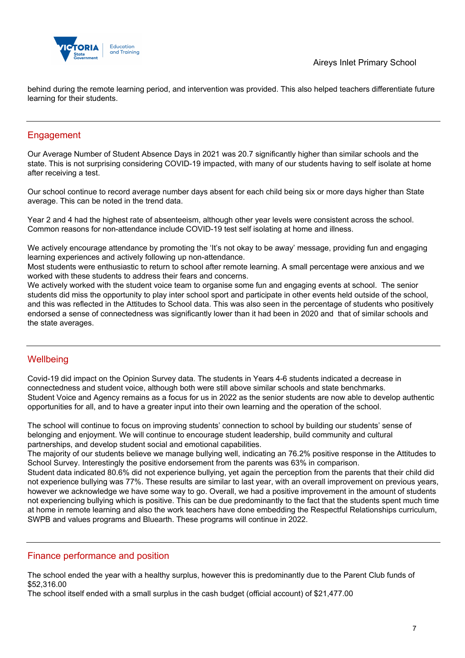

behind during the remote learning period, and intervention was provided. This also helped teachers differentiate future learning for their students.

## **Engagement**

Our Average Number of Student Absence Days in 2021 was 20.7 significantly higher than similar schools and the state. This is not surprising considering COVID-19 impacted, with many of our students having to self isolate at home after receiving a test.

Our school continue to record average number days absent for each child being six or more days higher than State average. This can be noted in the trend data.

Year 2 and 4 had the highest rate of absenteeism, although other year levels were consistent across the school. Common reasons for non-attendance include COVID-19 test self isolating at home and illness.

We actively encourage attendance by promoting the 'It's not okay to be away' message, providing fun and engaging learning experiences and actively following up non-attendance.

Most students were enthusiastic to return to school after remote learning. A small percentage were anxious and we worked with these students to address their fears and concerns.

We actively worked with the student voice team to organise some fun and engaging events at school. The senior students did miss the opportunity to play inter school sport and participate in other events held outside of the school, and this was reflected in the Attitudes to School data. This was also seen in the percentage of students who positively endorsed a sense of connectedness was significantly lower than it had been in 2020 and that of similar schools and the state averages.

## **Wellbeing**

Covid-19 did impact on the Opinion Survey data. The students in Years 4-6 students indicated a decrease in connectedness and student voice, although both were still above similar schools and state benchmarks. Student Voice and Agency remains as a focus for us in 2022 as the senior students are now able to develop authentic opportunities for all, and to have a greater input into their own learning and the operation of the school.

The school will continue to focus on improving students' connection to school by building our students' sense of belonging and enjoyment. We will continue to encourage student leadership, build community and cultural partnerships, and develop student social and emotional capabilities.

The majority of our students believe we manage bullying well, indicating an 76.2% positive response in the Attitudes to School Survey. Interestingly the positive endorsement from the parents was 63% in comparison.

Student data indicated 80.6% did not experience bullying, yet again the perception from the parents that their child did not experience bullying was 77%. These results are similar to last year, with an overall improvement on previous years, however we acknowledge we have some way to go. Overall, we had a positive improvement in the amount of students not experiencing bullying which is positive. This can be due predominantly to the fact that the students spent much time at home in remote learning and also the work teachers have done embedding the Respectful Relationships curriculum, SWPB and values programs and Bluearth. These programs will continue in 2022.

## Finance performance and position

The school ended the year with a healthy surplus, however this is predominantly due to the Parent Club funds of \$52,316.00

The school itself ended with a small surplus in the cash budget (official account) of \$21,477.00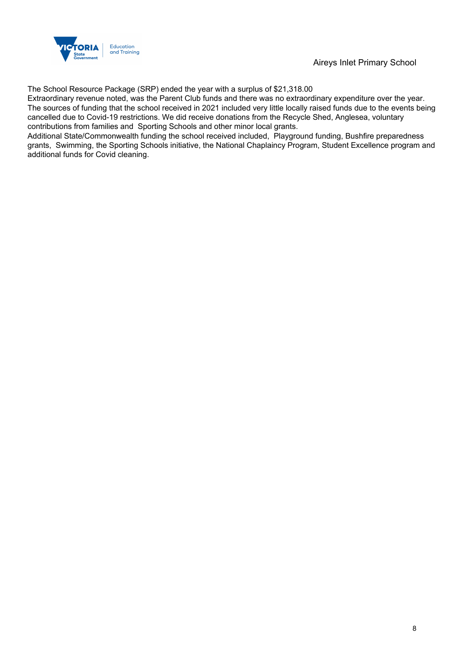

## Aireys Inlet Primary School

The School Resource Package (SRP) ended the year with a surplus of \$21,318.00

Extraordinary revenue noted, was the Parent Club funds and there was no extraordinary expenditure over the year. The sources of funding that the school received in 2021 included very little locally raised funds due to the events being cancelled due to Covid-19 restrictions. We did receive donations from the Recycle Shed, Anglesea, voluntary contributions from families and Sporting Schools and other minor local grants.

Additional State/Commonwealth funding the school received included, Playground funding, Bushfire preparedness grants, Swimming, the Sporting Schools initiative, the National Chaplaincy Program, Student Excellence program and additional funds for Covid cleaning.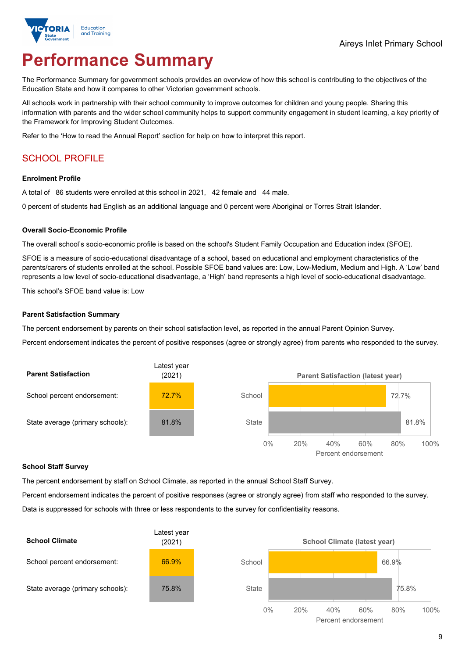

# **Performance Summary**

The Performance Summary for government schools provides an overview of how this school is contributing to the objectives of the Education State and how it compares to other Victorian government schools.

All schools work in partnership with their school community to improve outcomes for children and young people. Sharing this information with parents and the wider school community helps to support community engagement in student learning, a key priority of the Framework for Improving Student Outcomes.

Refer to the 'How to read the Annual Report' section for help on how to interpret this report.

## SCHOOL PROFILE

#### **Enrolment Profile**

A total of 86 students were enrolled at this school in 2021, 42 female and 44 male.

0 percent of students had English as an additional language and 0 percent were Aboriginal or Torres Strait Islander.

#### **Overall Socio-Economic Profile**

The overall school's socio-economic profile is based on the school's Student Family Occupation and Education index (SFOE).

SFOE is a measure of socio-educational disadvantage of a school, based on educational and employment characteristics of the parents/carers of students enrolled at the school. Possible SFOE band values are: Low, Low-Medium, Medium and High. A 'Low' band represents a low level of socio-educational disadvantage, a 'High' band represents a high level of socio-educational disadvantage.

This school's SFOE band value is: Low

#### **Parent Satisfaction Summary**

The percent endorsement by parents on their school satisfaction level, as reported in the annual Parent Opinion Survey.

Percent endorsement indicates the percent of positive responses (agree or strongly agree) from parents who responded to the survey.



#### **School Staff Survey**

The percent endorsement by staff on School Climate, as reported in the annual School Staff Survey.

Percent endorsement indicates the percent of positive responses (agree or strongly agree) from staff who responded to the survey. Data is suppressed for schools with three or less respondents to the survey for confidentiality reasons.

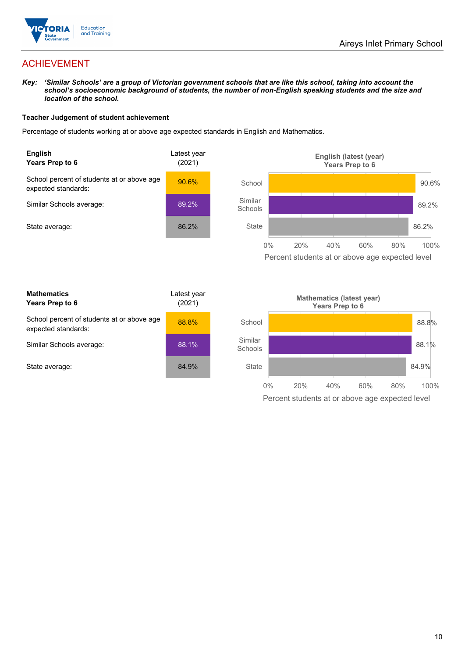

## ACHIEVEMENT

*Key: 'Similar Schools' are a group of Victorian government schools that are like this school, taking into account the school's socioeconomic background of students, the number of non-English speaking students and the size and location of the school.*

#### **Teacher Judgement of student achievement**

Percentage of students working at or above age expected standards in English and Mathematics.



Percent students at or above age expected level

| <b>Mathematics</b><br>Years Prep to 6                             | Latest year<br>(2021) |
|-------------------------------------------------------------------|-----------------------|
| School percent of students at or above age<br>expected standards: | 88.8%                 |
| Similar Schools average:                                          | 88.1%                 |
| State average:                                                    | 84.9%                 |

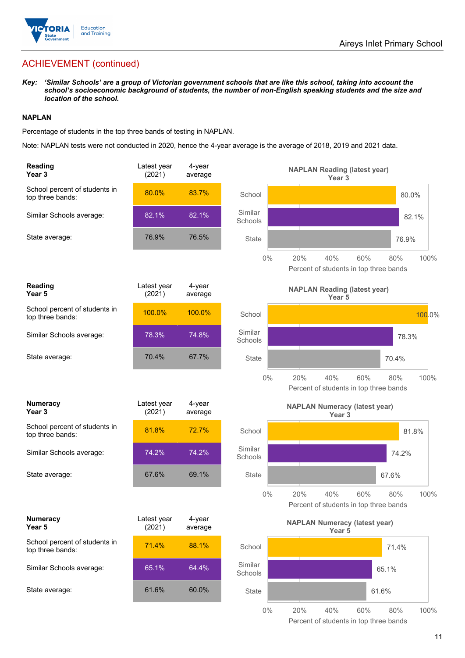

## ACHIEVEMENT (continued)

*Key: 'Similar Schools' are a group of Victorian government schools that are like this school, taking into account the school's socioeconomic background of students, the number of non-English speaking students and the size and location of the school.*

#### **NAPLAN**

Percentage of students in the top three bands of testing in NAPLAN.

Note: NAPLAN tests were not conducted in 2020, hence the 4-year average is the average of 2018, 2019 and 2021 data.

| <b>Reading</b><br>Year <sub>3</sub>               | Latest year<br>(2021) | 4-year<br>average    |                    | <b>NAPLAN Reading (latest year)</b><br>Year <sub>3</sub>                   |
|---------------------------------------------------|-----------------------|----------------------|--------------------|----------------------------------------------------------------------------|
| School percent of students in<br>top three bands: | 80.0%                 | 83.7%                | School             | 80.0%                                                                      |
| Similar Schools average:                          | 82.1%                 | 82.1%                | Similar<br>Schools | 82.1%                                                                      |
| State average:                                    | 76.9%                 | 76.5%                | <b>State</b>       | 76.9%                                                                      |
|                                                   |                       |                      | $0\%$              | 20%<br>40%<br>60%<br>80%<br>100%<br>Percent of students in top three bands |
| Reading<br>Year <sub>5</sub>                      | Latest year<br>(2021) | 4-year<br>average    |                    | <b>NAPLAN Reading (latest year)</b><br>Year 5                              |
| School percent of students in<br>top three bands: | 100.0%                | 100.0%               | School             | 100.0%                                                                     |
| Similar Schools average:                          | 78.3%                 | 74.8%                | Similar<br>Schools | 78.3%                                                                      |
| State average:                                    | 70.4%                 | 67.7%                | State              | 70.4%                                                                      |
|                                                   |                       |                      | $0\%$              | 20%<br>40%<br>60%<br>100%<br>80%<br>Percent of students in top three bands |
| <b>Numeracy</b><br>Year <sub>3</sub>              | Latest year<br>(2021) | 4-year<br>average    |                    | <b>NAPLAN Numeracy (latest year)</b><br>Year <sub>3</sub>                  |
| School percent of students in<br>top three bands: | 81.8%                 | 72.7%                | School             | 81.8%                                                                      |
| Similar Schools average:                          | 74.2%                 | 74.2%                | Similar<br>Schools | 74.2%                                                                      |
| State average:                                    | 67.6%                 | 69.1%                | <b>State</b>       | 67.6%                                                                      |
|                                                   |                       |                      | 0%                 | 20%<br>40%<br>100%<br>60%<br>80%<br>Percent of students in top three bands |
| <b>Numeracy</b><br>Year 5                         | Latest year<br>(2021) | $4$ -year<br>average |                    | <b>NAPLAN Numeracy (latest year)</b><br>Year 5                             |
| School percent of students in<br>top three bands: | 71.4%                 | 88.1%                | School             | 71.4%                                                                      |
| Similar Schools average:                          | 65.1%                 | 64.4%                | Similar<br>Schools | 65.1%                                                                      |
| State average:                                    | 61.6%                 | 60.0%                | <b>State</b>       | 61.6%                                                                      |
|                                                   |                       |                      | $0\%$              | 20%<br>40%<br>60%<br>80%<br>100%                                           |

Percent of students in top three bands

| Reading<br>Year 5                                 | Latest year<br>(2021) | 4-year<br>average |                    |       |
|---------------------------------------------------|-----------------------|-------------------|--------------------|-------|
| School percent of students in<br>top three bands: | 100.0%                | 100.0%            | School             |       |
| Similar Schools average:                          | 78.3%                 | 74.8%             | Similar<br>Schools |       |
| State average:                                    | 70.4%                 | 67.7%             | State              |       |
|                                                   |                       |                   |                    | $0\%$ |
| <b>Numeracy</b><br>Year <sub>3</sub>              | Latest year<br>(2021) | 4-year<br>average |                    |       |
| School percent of students in<br>top three bands: | 81.8%                 | 72.7%             | School             |       |
| Similar Schools average:                          | 74.2%                 | 74.2%             | Similar<br>Schools |       |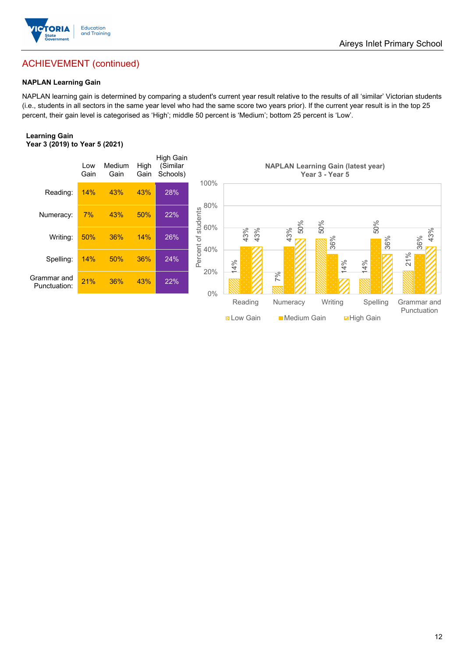

## ACHIEVEMENT (continued)

### **NAPLAN Learning Gain**

NAPLAN learning gain is determined by comparing a student's current year result relative to the results of all 'similar' Victorian students (i.e., students in all sectors in the same year level who had the same score two years prior). If the current year result is in the top 25 percent, their gain level is categorised as 'High'; middle 50 percent is 'Medium'; bottom 25 percent is 'Low'.

#### **Learning Gain Year 3 (2019) to Year 5 (2021)**

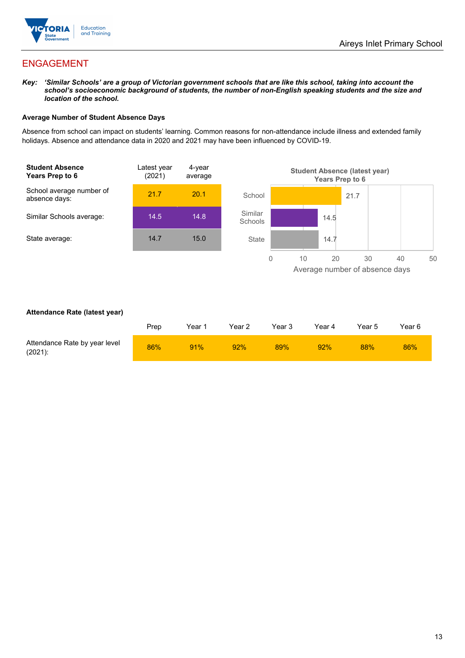

## ENGAGEMENT

*Key: 'Similar Schools' are a group of Victorian government schools that are like this school, taking into account the school's socioeconomic background of students, the number of non-English speaking students and the size and location of the school.*

#### **Average Number of Student Absence Days**

Absence from school can impact on students' learning. Common reasons for non-attendance include illness and extended family holidays. Absence and attendance data in 2020 and 2021 may have been influenced by COVID-19.



#### **Attendance Rate (latest year)**

|                                             | Prep | Year 1 | Year 2 | Year 3 | Year 4 | Year 5 | Year 6 |
|---------------------------------------------|------|--------|--------|--------|--------|--------|--------|
| Attendance Rate by year level<br>$(2021)$ : | 86%  | 91%    | 92%    | 89%    | 92%    | 88%    | 86%    |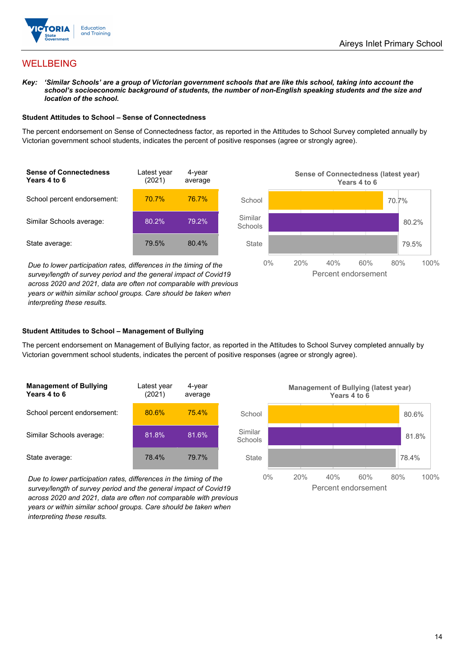

## WELLBEING

*Key: 'Similar Schools' are a group of Victorian government schools that are like this school, taking into account the*  school's socioeconomic background of students, the number of non-English speaking students and the size and *location of the school.*

#### **Student Attitudes to School – Sense of Connectedness**

The percent endorsement on Sense of Connectedness factor, as reported in the Attitudes to School Survey completed annually by Victorian government school students, indicates the percent of positive responses (agree or strongly agree).



*Due to lower participation rates, differences in the timing of the survey/length of survey period and the general impact of Covid19 across 2020 and 2021, data are often not comparable with previous years or within similar school groups. Care should be taken when interpreting these results.*



### **Student Attitudes to School – Management of Bullying**

The percent endorsement on Management of Bullying factor, as reported in the Attitudes to School Survey completed annually by Victorian government school students, indicates the percent of positive responses (agree or strongly agree).

| <b>Management of Bullying</b><br>Years 4 to 6 | Latest year<br>(2021) | 4-year<br>average |  |
|-----------------------------------------------|-----------------------|-------------------|--|
| School percent endorsement:                   | 80.6%                 | 75.4%             |  |
| Similar Schools average:                      | 81.8%                 | 81.6%             |  |
| State average:                                | 78.4%                 | 79.7%             |  |

*Due to lower participation rates, differences in the timing of the survey/length of survey period and the general impact of Covid19 across 2020 and 2021, data are often not comparable with previous years or within similar school groups. Care should be taken when interpreting these results.*

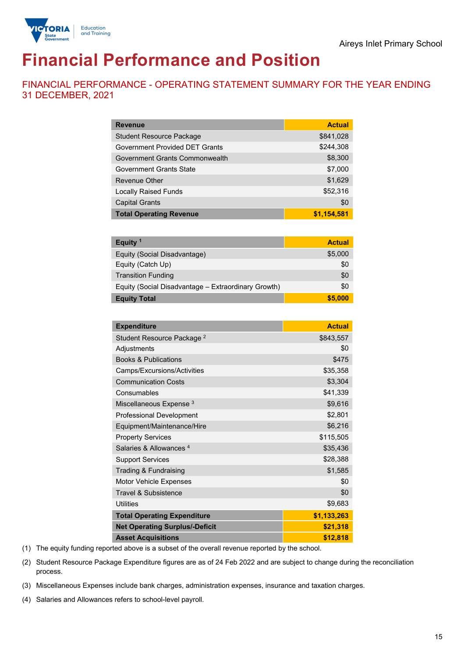

# **Financial Performance and Position**

FINANCIAL PERFORMANCE - OPERATING STATEMENT SUMMARY FOR THE YEAR ENDING 31 DECEMBER, 2021

| <b>Revenue</b>                        | <b>Actual</b> |
|---------------------------------------|---------------|
| <b>Student Resource Package</b>       | \$841,028     |
| <b>Government Provided DET Grants</b> | \$244,308     |
| Government Grants Commonwealth        | \$8,300       |
| <b>Government Grants State</b>        | \$7,000       |
| <b>Revenue Other</b>                  | \$1,629       |
| <b>Locally Raised Funds</b>           | \$52,316      |
| <b>Capital Grants</b>                 | \$0           |
| <b>Total Operating Revenue</b>        | \$1,154,581   |

| Equity <sup>1</sup>                                 | <b>Actual</b> |
|-----------------------------------------------------|---------------|
| Equity (Social Disadvantage)                        | \$5,000       |
| Equity (Catch Up)                                   | \$0           |
| <b>Transition Funding</b>                           | \$0           |
| Equity (Social Disadvantage – Extraordinary Growth) | \$0           |
| <b>Equity Total</b>                                 | \$5,000       |

| <b>Expenditure</b>                    | <b>Actual</b> |
|---------------------------------------|---------------|
| Student Resource Package <sup>2</sup> | \$843,557     |
| Adjustments                           | \$0           |
| <b>Books &amp; Publications</b>       | \$475         |
| Camps/Excursions/Activities           | \$35,358      |
| <b>Communication Costs</b>            | \$3,304       |
| Consumables                           | \$41,339      |
| Miscellaneous Expense <sup>3</sup>    | \$9,616       |
| <b>Professional Development</b>       | \$2,801       |
| Equipment/Maintenance/Hire            | \$6,216       |
| <b>Property Services</b>              | \$115,505     |
| Salaries & Allowances <sup>4</sup>    | \$35,436      |
| <b>Support Services</b>               | \$28,388      |
| Trading & Fundraising                 | \$1,585       |
| Motor Vehicle Expenses                | \$0           |
| <b>Travel &amp; Subsistence</b>       | \$0           |
| <b>Utilities</b>                      | \$9,683       |
| <b>Total Operating Expenditure</b>    | \$1,133,263   |
| <b>Net Operating Surplus/-Deficit</b> | \$21,318      |
| <b>Asset Acquisitions</b>             | \$12,818      |

(1) The equity funding reported above is a subset of the overall revenue reported by the school.

(2) Student Resource Package Expenditure figures are as of 24 Feb 2022 and are subject to change during the reconciliation process.

(3) Miscellaneous Expenses include bank charges, administration expenses, insurance and taxation charges.

(4) Salaries and Allowances refers to school-level payroll.